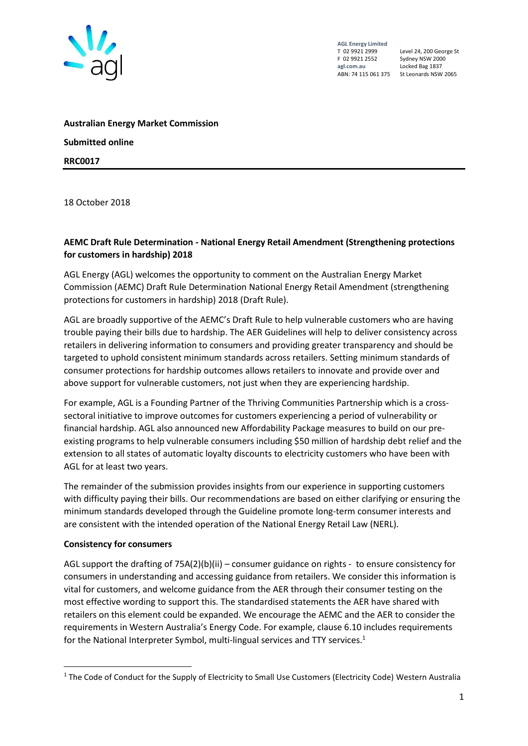

**AGL Energy Limited F** 02 9921 2552 Sydney NSW 2000

Level 24, 200 George St Locked Bag 1837 ABN: 74 115 061 375 St Leonards NSW 2065

**Australian Energy Market Commission Submitted online RRC0017**

18 October 2018

## **AEMC Draft Rule Determination - National Energy Retail Amendment (Strengthening protections for customers in hardship) 2018**

AGL Energy (AGL) welcomes the opportunity to comment on the Australian Energy Market Commission (AEMC) Draft Rule Determination National Energy Retail Amendment (strengthening protections for customers in hardship) 2018 (Draft Rule).

AGL are broadly supportive of the AEMC's Draft Rule to help vulnerable customers who are having trouble paying their bills due to hardship. The AER Guidelines will help to deliver consistency across retailers in delivering information to consumers and providing greater transparency and should be targeted to uphold consistent minimum standards across retailers. Setting minimum standards of consumer protections for hardship outcomes allows retailers to innovate and provide over and above support for vulnerable customers, not just when they are experiencing hardship.

For example, AGL is a Founding Partner of the Thriving Communities Partnership which is a crosssectoral initiative to improve outcomes for customers experiencing a period of vulnerability or financial hardship. AGL also announced new Affordability Package measures to build on our preexisting programs to help vulnerable consumers including \$50 million of hardship debt relief and the extension to all states of automatic loyalty discounts to electricity customers who have been with AGL for at least two years.

The remainder of the submission provides insights from our experience in supporting customers with difficulty paying their bills. Our recommendations are based on either clarifying or ensuring the minimum standards developed through the Guideline promote long-term consumer interests and are consistent with the intended operation of the National Energy Retail Law (NERL).

## **Consistency for consumers**

AGL support the drafting of 75A(2)(b)(ii) – consumer guidance on rights - to ensure consistency for consumers in understanding and accessing guidance from retailers. We consider this information is vital for customers, and welcome guidance from the AER through their consumer testing on the most effective wording to support this. The standardised statements the AER have shared with retailers on this element could be expanded. We encourage the AEMC and the AER to consider the requirements in Western Australia's Energy Code. For example, clause 6.10 includes requirements for the National Interpreter Symbol, multi-lingual services and TTY services.<sup>1</sup>

<sup>&</sup>lt;sup>1</sup> The Code of Conduct for the Supply of Electricity to Small Use Customers (Electricity Code) Western Australia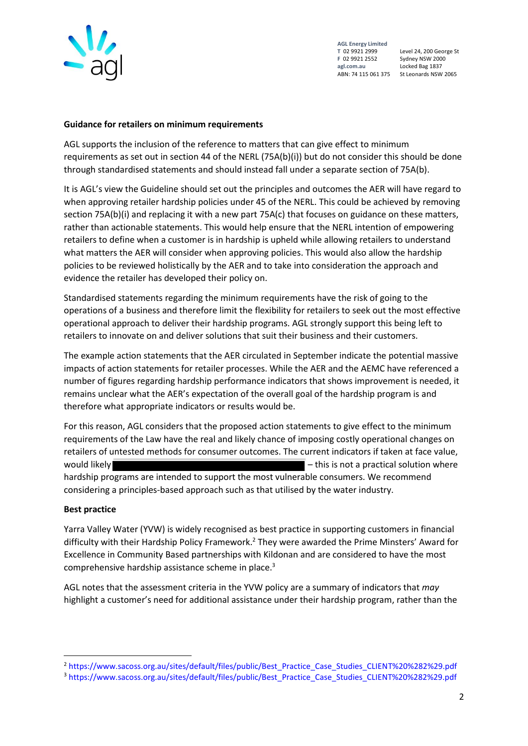

**AGL Energy Limited F** 02 9921 2552 Sydney NSW 2000

Level 24, 200 George St Locked Bag 1837 ABN: 74 115 061 375 St Leonards NSW 2065

## **Guidance for retailers on minimum requirements**

AGL supports the inclusion of the reference to matters that can give effect to minimum requirements as set out in section 44 of the NERL (75A(b)(i)) but do not consider this should be done through standardised statements and should instead fall under a separate section of 75A(b).

It is AGL's view the Guideline should set out the principles and outcomes the AER will have regard to when approving retailer hardship policies under 45 of the NERL. This could be achieved by removing section 75A(b)(i) and replacing it with a new part 75A(c) that focuses on guidance on these matters, rather than actionable statements. This would help ensure that the NERL intention of empowering retailers to define when a customer is in hardship is upheld while allowing retailers to understand what matters the AER will consider when approving policies. This would also allow the hardship policies to be reviewed holistically by the AER and to take into consideration the approach and evidence the retailer has developed their policy on.

Standardised statements regarding the minimum requirements have the risk of going to the operations of a business and therefore limit the flexibility for retailers to seek out the most effective operational approach to deliver their hardship programs. AGL strongly support this being left to retailers to innovate on and deliver solutions that suit their business and their customers.

The example action statements that the AER circulated in September indicate the potential massive impacts of action statements for retailer processes. While the AER and the AEMC have referenced a number of figures regarding hardship performance indicators that shows improvement is needed, it remains unclear what the AER's expectation of the overall goal of the hardship program is and therefore what appropriate indicators or results would be.

For this reason, AGL considers that the proposed action statements to give effect to the minimum requirements of the Law have the real and likely chance of imposing costly operational changes on retailers of untested methods for consumer outcomes. The current indicators if taken at face value, would likely **EXECUTE:** This is not a practical solution where  $\blacksquare$  this is not a practical solution where hardship programs are intended to support the most vulnerable consumers. We recommend considering a principles-based approach such as that utilised by the water industry.

## **Best practice**

1

Yarra Valley Water (YVW) is widely recognised as best practice in supporting customers in financial difficulty with their Hardship Policy Framework.<sup>2</sup> They were awarded the Prime Minsters' Award for Excellence in Community Based partnerships with Kildonan and are considered to have the most comprehensive hardship assistance scheme in place.<sup>3</sup>

AGL notes that the assessment criteria in the YVW policy are a summary of indicators that *may* highlight a customer's need for additional assistance under their hardship program, rather than the

<sup>2</sup> [https://www.sacoss.org.au/sites/default/files/public/Best\\_Practice\\_Case\\_Studies\\_CLIENT%20%282%29.pdf](https://www.sacoss.org.au/sites/default/files/public/Best_Practice_Case_Studies_CLIENT%20%282%29.pdf)

<sup>3</sup> [https://www.sacoss.org.au/sites/default/files/public/Best\\_Practice\\_Case\\_Studies\\_CLIENT%20%282%29.pdf](https://www.sacoss.org.au/sites/default/files/public/Best_Practice_Case_Studies_CLIENT%20%282%29.pdf)